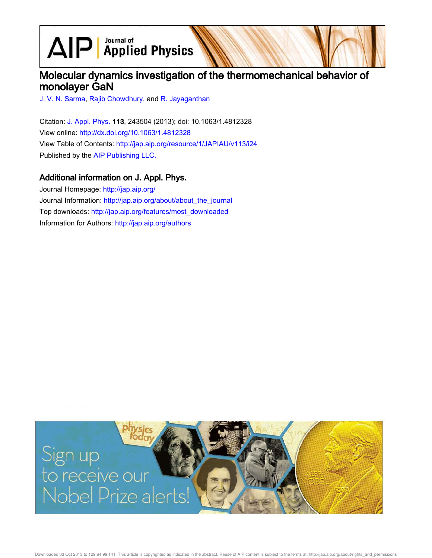$\text{AlP}$  Applied Physics

# Molecular dynamics investigation of the thermomechanical behavior of monolayer GaN

J. V. N. Sarma, Rajib Chowdhury, and R. Jayaganthan

Citation: J. Appl. Phys. 113, 243504 (2013); doi: 10.1063/1.4812328 View online: http://dx.doi.org/10.1063/1.4812328 View Table of Contents: http://jap.aip.org/resource/1/JAPIAU/v113/i24 Published by the AIP Publishing LLC.

# Additional information on J. Appl. Phys.

Journal Homepage: http://jap.aip.org/ Journal Information: http://jap.aip.org/about/about\_the\_journal Top downloads: http://jap.aip.org/features/most\_downloaded Information for Authors: http://jap.aip.org/authors



Downloaded 03 Oct 2013 to 129.64.99.141. This article is copyrighted as indicated in the abstract. Reuse of AIP content is subject to the terms at: http://jap.aip.org/about/rights\_and\_permissions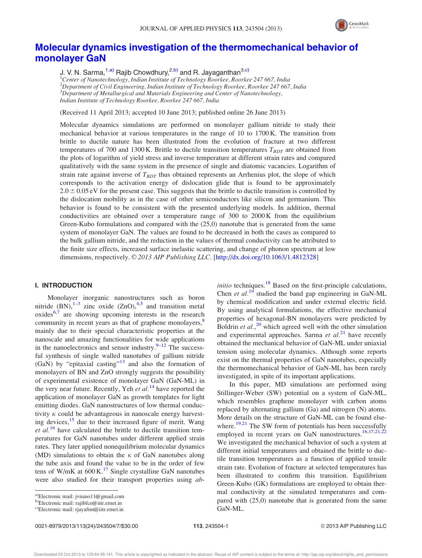

# Molecular dynamics investigation of the thermomechanical behavior of monolayer GaN

J. V. N. Sarma,  $1, a)$  Rajib Chowdhury,  $2, b)$  and R. Jayaganthan  $3, c)$ 

*Center of Nanotechnology, Indian Institute of Technology Roorkee, Roorkee 247 667, India Department of Civil Engineering, Indian Institute of Technology Roorkee, Roorkee 247 667, India Department of Metallurgical and Materials Engineering and Center of Nanotechnology, Indian Institute of Technology Roorkee, Roorkee 247 667, India*

(Received 11 April 2013; accepted 10 June 2013; published online 26 June 2013)

Molecular dynamics simulations are performed on monolayer gallium nitride to study their mechanical behavior at various temperatures in the range of 10 to 1700 K. The transition from brittle to ductile nature has been illustrated from the evolution of fracture at two different temperatures of 700 and 1300 K. Brittle to ductile transition temperatures *TBDT* are obtained from the plots of logarithm of yield stress and inverse temperature at different strain rates and compared qualitatively with the same system in the presence of single and diatomic vacancies. Logarithm of strain rate against inverse of  $T_{BDT}$  thus obtained represents an Arrhenius plot, the slope of which corresponds to the activation energy of dislocation glide that is found to be approximately  $2.0 \pm 0.05$  eV for the present case. This suggests that the brittle to ductile transition is controlled by the dislocation mobility as in the case of other semiconductors like silicon and germanium. This behavior is found to be consistent with the presented underlying models. In addition, thermal conductivities are obtained over a temperature range of 300 to 2000 K from the equilibrium Green-Kubo formulations and compared with the (25,0) nanotube that is generated from the same system of monolayer GaN. The values are found to be decreased in both the cases as compared to the bulk gallium nitride, and the reduction in the values of thermal conductivity can be attributed to the finite size effects, increased surface inelastic scattering, and change of phonon spectrum at low dimensions, respectively. © 2013 AIP Publishing LLC. [http://dx.doi.org/10.1063/1.4812328]

### I. INTRODUCTION

Monolayer inorganic nanostructures such as boron nitride  $(BN)$ ,  $1-3$  zinc oxide  $(ZnO)$ ,  $4.5$  and transition metal oxides $6,7$  are showing upcoming interests in the research community in recent years as that of graphene monolayers,<sup>8</sup> mainly due to their special characteristic properties at the nanoscale and amazing functionalities for wide applications in the nanoelectronics and sensor industry. $9-12$  The successful synthesis of single walled nanotubes of gallium nitride (GaN) by "epitaxial casting"<sup>13</sup> and also the formation of monolayers of BN and ZnO strongly suggests the possibility of experimental existence of monolayer GaN (GaN-ML) in the very near future. Recently, Yeh *et al.*<sup>14</sup> have reported the application of monolayer GaN as growth templates for light emitting diodes. GaN nanostructures of low thermal conductivity  $\kappa$  could be advantageous in nanoscale energy harvesting devices,  $15$  due to their increased figure of merit. Wang *et al.*<sup>16</sup> have calculated the brittle to ductile transition temperatures for GaN nanotubes under different applied strain rates. They later applied nonequilibrium molecular dynamics (MD) simulations to obtain the  $\kappa$  of GaN nanotubes along the tube axis and found the value to be in the order of few tens of W/mK at  $600 \text{ K}$ .<sup>17</sup> Single crystalline GaN nanotubes were also studied for their transport properties using *ab-*

0021-8979/2013/113(24)/243504/7/\$30.00 113, 243504-1 © 2013 AIP Publishing LLC

*initio* techniques.<sup>18</sup> Based on the first-principle calculations, Chen *et al.*<sup>19</sup> studied the band gap engineering in GaN-ML by chemical modification and under external electric field. By using analytical formulations, the effective mechanical properties of hexagonal-BN monolayers were predicted by Boldrin *et al.*<sup>20</sup> which agreed well with the other simulation and experimental approaches. Sarma *et al.*<sup>21</sup> have recently obtained the mechanical behavior of GaN-ML under uniaxial tension using molecular dynamics. Although some reports exist on the thermal properties of GaN nanotubes, especially the thermomechanical behavior of GaN-ML has been rarely investigated, in spite of its important applications.

In this paper, MD simulations are performed using Stillinger-Weber (SW) potential on a system of GaN-ML, which resembles graphene monolayer with carbon atoms replaced by alternating gallium (Ga) and nitrogen (N) atoms. More details on the structure of GaN-ML can be found elsewhere.<sup>19,21</sup> The SW form of potentials has been successfully employed in recent years on GaN nanostructures.<sup>16,17,21,22</sup> We investigated the mechanical behavior of such a system at different initial temperatures and obtained the brittle to ductile transition temperatures as a function of applied tensile strain rate. Evolution of fracture at selected temperatures has been illustrated to confirm this transition. Equilibrium Green-Kubo (GK) formulations are employed to obtain thermal conductivity at the simulated temperatures and compared with (25,0) nanotube that is generated from the same GaN-ML.

<sup>&</sup>lt;sup>a)</sup>Electronic mail: jvnano11@gmail.com

b)Electronic mail: rajibfce@iitr.ernet.in

c)Electronic mail: rjayafmt@iitr.ernet.in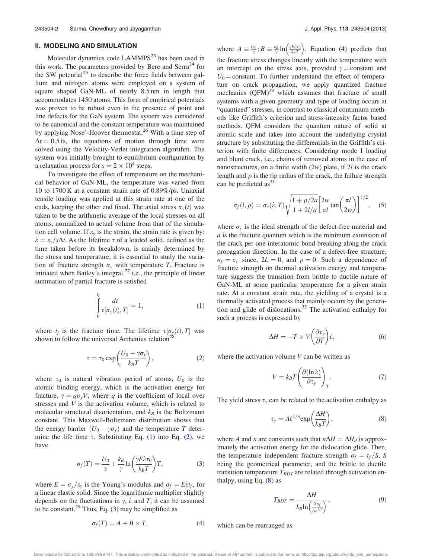## II. MODELING AND SIMULATION

Molecular dynamics code  $LAMMPS<sup>23</sup>$  has been used in this work. The parameters provided by Bere and Serra<sup>24</sup> for the SW potential<sup>25</sup> to describe the force fields between gallium and nitrogen atoms were employed on a system of square shaped GaN-ML of nearly 8.5 nm in length that accommodates 1450 atoms. This form of empirical potentials was proven to be robust even in the presence of point and line defects for the GaN system. The system was considered to be canonical and the constant temperature was maintained by applying Nose'-Hoover thermostat.<sup>26</sup> With a time step of  $\Delta t = 0.5$  fs, the equations of motion through time were solved using the Velocity-Verlet integration algorithm. The system was initially brought to equilibrium configuration by a relaxation process for  $s = 2 \times 10^4$  steps.

To investigate the effect of temperature on the mechanical behavior of GaN-ML, the temperature was varied from 10 to 1700 K at a constant strain rate of 0.89%/ps. Uniaxial tensile loading was applied at this strain rate at one of the ends, keeping the other end fixed. The axial stress  $\sigma_v(t)$  was taken to be the arithmetic average of the local stresses on all atoms, normalized to actual volume from that of the simulation cell volume. If  $\varepsilon$ <sub>v</sub> is the strain, the strain rate is given by:  $\dot{\varepsilon} = \varepsilon_v / s \Delta t$ . As the lifetime  $\tau$  of a loaded solid, defined as the time taken before its breakdown, is mainly determined by the stress and temperature, it is essential to study the variation of fracture strength  $\sigma_y$  with temperature *T*. Fracture is initiated when Bailey's integral, $^{27}$  i.e., the principle of linear summation of partial fracture is satisfied

$$
\int_{0}^{t_f} \frac{dt}{\tau[\sigma_y(t),T]} = 1,
$$
\n(1)

where  $t_f$  is the fracture time. The lifetime  $\tau[\sigma_y(t), T]$  was shown to follow the universal Arrhenius relation<sup>2</sup>

$$
\tau = \tau_0 \exp\left(\frac{U_0 - \gamma \sigma_y}{k_B T}\right),\tag{2}
$$

where  $\tau_0$  is natural vibration period of atoms,  $U_0$  is the atomic binding energy, which is the activation energy for fracture,  $\gamma = q\sigma_y V$ , where *q* is the coefficient of local over stresses and *V* is the activation volume, which is related to molecular structural disorientation, and  $k_B$  is the Boltzmann constant. This Maxwell-Boltzmann distribution shows that the energy barrier  $(U_0 - \gamma \sigma_y)$  and the temperature *T* determine the life time  $\tau$ . Substituting Eq. (1) into Eq. (2), we have

$$
\sigma_f(T) = \frac{U_0}{\gamma} + \frac{k_B}{\gamma} \ln\left(\frac{\gamma E \dot{\varepsilon} \tau_0}{k_B T}\right) T,\tag{3}
$$

where  $E = \sigma_y/\varepsilon_y$  is the Young's modulus and  $\sigma_f = E \varepsilon t_f$ , for a linear elastic solid. Since the logarithmic multiplier slightly depends on the fluctuations in  $\gamma$ ,  $\dot{\varepsilon}$  and *T*, it can be assumed to be constant.<sup>29</sup> Thus, Eq. (3) may be simplified as

$$
\sigma_f(T) = A + B \times T,\tag{4}
$$

where  $A \equiv \frac{U_0}{\gamma}$ ;  $B \equiv \frac{k_B}{\gamma} \ln \left( \frac{\gamma E \dot{\epsilon} \tau_0}{k_B T} \right)$ . Equation (4) predicts that the fracture stress changes linearly with the temperature with an intercept on the stress axis, provided  $\gamma$  = constant and  $U_0$  = constant. To further understand the effect of temperature on crack propagation, we apply quantized fracture mechanics  $(QFM)^{30}$  which assumes that fracture of small systems with a given geometry and type of loading occurs at "quantized" stresses, in contrast to classical continuum methods like Griffith's criterion and stress-intensity factor based methods. QFM considers the quantum nature of solid at atomic scale and takes into account the underlying crystal structure by substituting the differentials in the Griffith's criterion with finite differences. Considering mode I loading and blunt crack, i.e., chains of removed atoms in the case of nanostructures, on a finite width (2*w*) plate, if 2*l* is the crack length and  $\rho$  is the tip radius of the crack, the failure strength can be predicted  $as<sup>31</sup>$ 

$$
\sigma_f(l,\rho) = \sigma_c(\dot{\varepsilon},T) \sqrt{\frac{1+\rho/2a}{1+2l/a}} \left[\frac{2w}{\pi l} \tan\left(\frac{\pi l}{2w}\right)\right]^{1/2}, \quad (5)
$$

where  $\sigma_c$  is the ideal strength of the defect-free material and *a* is the fracture quantum which is the minimum extension of the crack per one interatomic bond breaking along the crack propagation direction. In the case of a defect-free structure,  $\sigma_f = \sigma_c$  since,  $2L = 0$ , and  $\rho = 0$ . Such a dependence of fracture strength on thermal activation energy and temperature suggests the transition from brittle to ductile nature of GaN-ML at some particular temperature for a given strain rate. At a constant strain rate, the yielding of a crystal is a thermally activated process that mainly occurs by the generation and glide of dislocations.<sup>32</sup> The activation enthalpy for such a process is expressed by

$$
\Delta H = -T \times V \left( \frac{\partial \tau_y}{\partial T} \right) \dot{\epsilon},\tag{6}
$$

where the activation volume *V* can be written as

$$
V = k_B T \left( \frac{\partial (\ln \dot{\epsilon})}{\partial \tau_y} \right)_T.
$$
 (7)

The yield stress  $\tau$ <sub>y</sub> can be related to the activation enthalpy as

$$
\tau_{y} = A \dot{\varepsilon}^{1/n} \exp\left(\frac{\Delta H}{k_{B}T}\right),\tag{8}
$$

where *A* and *n* are constants such that  $n\Delta H = \Delta H_d$  is approximately the activation energy for the dislocation glide. Then, the temperature independent fracture strength  $\sigma_f = \tau_f/S$ , *S* being the geometrical parameter, and the brittle to ductile transition temperature  $T_{BDT}$  are related through activation enthalpy, using Eq.  $(8)$  as

$$
T_{BDT} = \frac{\Delta H}{k_B \ln\left(\frac{S\sigma_f}{A\hat{\epsilon}^{1/n}}\right)},\tag{9}
$$

which can be rearranged as

Downloaded 03 Oct 2013 to 129.64.99.141. This article is copyrighted as indicated in the abstract. Reuse of AIP content is subject to the terms at: http://jap.aip.org/about/rights\_and\_permissions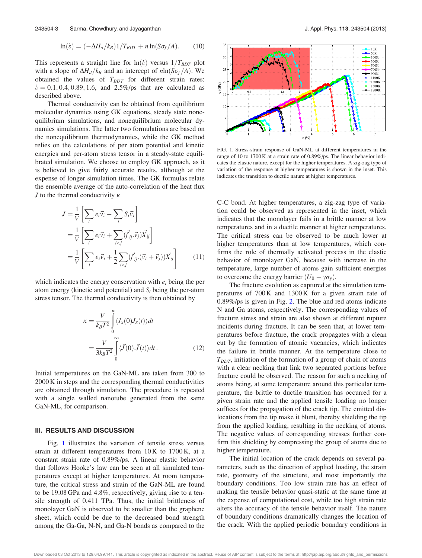$$
\ln(\dot{\varepsilon}) = (-\Delta H_d / k_B) \frac{1}{T_{BDT}} + n \ln(S\sigma_f / A). \tag{10}
$$

This represents a straight line for  $\ln(\dot{\varepsilon})$  versus  $1/T_{BDT}$  plot with a slope of  $\Delta H_d/k_B$  and an intercept of  $nln(S\sigma_f/A)$ . We obtained the values of  $T_{BDT}$  for different strain rates:  $\dot{\epsilon} = 0.1, 0.4, 0.89, 1.6,$  and 2.5%/ps that are calculated as described above.

Thermal conductivity can be obtained from equilibrium molecular dynamics using GK equations, steady state nonequilibrium simulations, and nonequilibrium molecular dynamics simulations. The latter two formulations are based on the nonequilibrium thermodynamics, while the GK method relies on the calculations of per atom potential and kinetic energies and per-atom stress tensor in a steady-state equilibrated simulation. We choose to employ GK approach, as it is believed to give fairly accurate results, although at the expense of longer simulation times. The GK formulas relate the ensemble average of the auto-correlation of the heat flux *J* to the thermal conductivity  $\kappa$ 

$$
J = \frac{1}{V} \left[ \sum_{i} e_{i} \vec{v}_{i} - \sum_{i} S_{i} \vec{v}_{i} \right]
$$
  
\n
$$
= \frac{1}{V} \left[ \sum_{i} e_{i} \vec{v}_{i} + \sum_{i < j} (\vec{f}_{ij} \cdot \vec{v}_{j}) \vec{X}_{ij} \right]
$$
  
\n
$$
= \frac{1}{V} \left[ \sum_{i} e_{i} \vec{v}_{i} + \frac{1}{2} \sum_{i < j} (\vec{f}_{ij} \cdot (\vec{v}_{i} + \vec{v}_{j})) \vec{X}_{ij} \right]
$$
(11)

which indicates the energy conservation with *e<sup>i</sup>* being the per atom energy (kinetic and potential) and  $S_i$  being the per-atom stress tensor. The thermal conductivity is then obtained by

$$
\kappa = \frac{V}{k_B T^2} \int_0^\infty \langle J_x(0) J_x(t) \rangle dt
$$
  
= 
$$
\frac{V}{3k_B T^2} \int_0^\infty \langle \vec{J}(0) . \vec{J}(t) \rangle dt.
$$
 (12)

Initial temperatures on the GaN-ML are taken from 300 to 2000 K in steps and the corresponding thermal conductivities are obtained through simulation. The procedure is repeated with a single walled nanotube generated from the same GaN-ML, for comparison.

#### III. RESULTS AND DISCUSSION

Fig. 1 illustrates the variation of tensile stress versus strain at different temperatures from  $10K$  to  $1700K$ , at a constant strain rate of 0.89%/ps. A linear elastic behavior that follows Hooke's law can be seen at all simulated temperatures except at higher temperatures. At room temperature, the critical stress and strain of the GaN-ML are found to be 19.08 GPa and 4.8%, respectively, giving rise to a tensile strength of 0.411 TPa. Thus, the initial brittleness of monolayer GaN is observed to be smaller than the graphene sheet, which could be due to the decreased bond strength among the Ga-Ga, N-N, and Ga-N bonds as compared to the



FIG. 1. Stress-strain response of GaN-ML at different temperatures in the range of 10 to 1700 K at a strain rate of 0.89%/ps. The linear behavior indicates the elastic nature, except for the higher temperatures. A zig-zag type of variation of the response at higher temperatures is shown in the inset. This indicates the transition to ductile nature at higher temperatures.

C-C bond. At higher temperatures, a zig-zag type of variation could be observed as represented in the inset, which indicates that the monolayer fails in a brittle manner at low temperatures and in a ductile manner at higher temperatures. The critical stress can be observed to be much lower at higher temperatures than at low temperatures, which confirms the role of thermally activated process in the elastic behavior of monolayer GaN, because with increase in the temperature, large number of atoms gain sufficient energies to overcome the energy barrier  $(U_0 - \gamma \sigma_v)$ .

The fracture evolution as captured at the simulation temperatures of 700 K and 1300 K for a given strain rate of 0.89%/ps is given in Fig. 2. The blue and red atoms indicate N and Ga atoms, respectively. The corresponding values of fracture stress and strain are also shown at different rupture incidents during fracture. It can be seen that, at lower temperatures before fracture, the crack propagates with a clean cut by the formation of atomic vacancies, which indicates the failure in brittle manner. At the temperature close to  $T_{BDT}$ , initiation of the formation of a group of chain of atoms with a clear necking that link two separated portions before fracture could be observed. The reason for such a necking of atoms being, at some temperature around this particular temperature, the brittle to ductile transition has occurred for a given strain rate and the applied tensile loading no longer suffices for the propagation of the crack tip. The emitted dislocations from the tip make it blunt, thereby shielding the tip from the applied loading, resulting in the necking of atoms. The negative values of corresponding stresses further confirm this shielding by compressing the group of atoms due to higher temperature.

The initial location of the crack depends on several parameters, such as the direction of applied loading, the strain rate, geometry of the structure, and most importantly the boundary conditions. Too low strain rate has an effect of making the tensile behavior quasi-static at the same time at the expense of computational cost, while too high strain rate alters the accuracy of the tensile behavior itself. The nature of boundary conditions dramatically changes the location of the crack. With the applied periodic boundary conditions in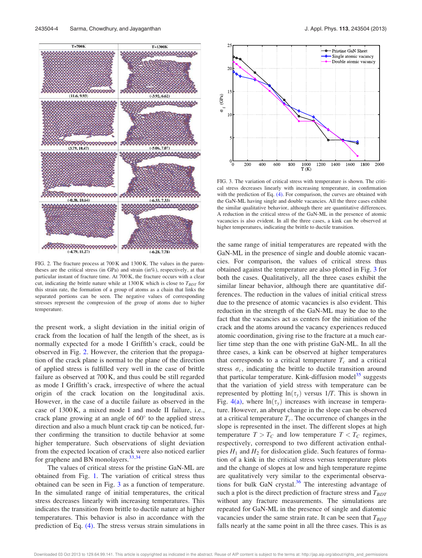

FIG. 2. The fracture process at 700 K and 1300 K. The values in the parentheses are the critical stress (in GPa) and strain (in%), respectively, at that particular instant of fracture time. At 700 K, the fracture occurs with a clear cut, indicating the brittle nature while at  $1300 \text{ K}$  which is close to  $T_{BDT}$  for this strain rate, the formation of a group of atoms as a chain that links the separated portions can be seen. The negative values of corresponding stresses represent the compression of the group of atoms due to higher temperature.

the present work, a slight deviation in the initial origin of crack from the location of half the length of the sheet, as is normally expected for a mode I Griffith's crack, could be observed in Fig. 2. However, the criterion that the propagation of the crack plane is normal to the plane of the direction of applied stress is fulfilled very well in the case of brittle failure as observed at 700 K, and thus could be still regarded as mode I Griffith's crack, irrespective of where the actual origin of the crack location on the longitudinal axis. However, in the case of a ductile failure as observed in the case of 1300 K, a mixed mode I and mode II failure, i.e., crack plane growing at an angle of  $60^{\circ}$  to the applied stress direction and also a much blunt crack tip can be noticed, further confirming the transition to ductile behavior at some higher temperature. Such observations of slight deviation from the expected location of crack were also noticed earlier for graphene and BN monolayers. $33,34$ 

The values of critical stress for the pristine GaN-ML are obtained from Fig. 1. The variation of critical stress thus obtained can be seen in Fig. 3 as a function of temperature. In the simulated range of initial temperatures, the critical stress decreases linearly with increasing temperatures. This indicates the transition from brittle to ductile nature at higher temperatures. This behavior is also in accordance with the prediction of Eq. (4). The stress versus strain simulations in



FIG. 3. The variation of critical stress with temperature is shown. The critical stress decreases linearly with increasing temperature, in confirmation with the prediction of Eq. (4). For comparison, the curves are obtained with the GaN-ML having single and double vacancies. All the three cases exhibit the similar qualitative behavior, although there are quantitative differences. A reduction in the critical stress of the GaN-ML in the presence of atomic vacancies is also evident. In all the three cases, a kink can be observed at higher temperatures, indicating the brittle to ductile transition.

the same range of initial temperatures are repeated with the GaN-ML in the presence of single and double atomic vacancies. For comparison, the values of critical stress thus obtained against the temperature are also plotted in Fig. 3 for both the cases. Qualitatively, all the three cases exhibit the similar linear behavior, although there are quantitative differences. The reduction in the values of initial critical stress due to the presence of atomic vacancies is also evident. This reduction in the strength of the GaN-ML may be due to the fact that the vacancies act as centers for the initiation of the crack and the atoms around the vacancy experiences reduced atomic coordination, giving rise to the fracture at a much earlier time step than the one with pristine GaN-ML. In all the three cases, a kink can be observed at higher temperatures that corresponds to a critical temperature  $T_c$  and a critical stress  $\sigma_c$ , indicating the brittle to ductile transition around that particular temperature. Kink-diffusion model<sup>35</sup> suggests that the variation of yield stress with temperature can be represented by plotting  $ln(\tau_v)$  versus 1/*T*. This is shown in Fig.  $4(a)$ , where  $ln(\tau_v)$  increases with increase in temperature. However, an abrupt change in the slope can be observed at a critical temperature  $T_c$ . The occurrence of changes in the slope is represented in the inset. The different slopes at high temperature  $T > T_C$  and low temperature  $T < T_C$  regimes, respectively, correspond to two different activation enthalpies  $H_1$  and  $H_2$  for dislocation glide. Such features of formation of a kink in the critical stress versus temperature plots and the change of slopes at low and high temperature regime are qualitatively very similar to the experimental observations for bulk GaN crystal. $36$  The interesting advantage of such a plot is the direct prediction of fracture stress and  $T_{BDT}$ without any fracture measurements. The simulations are repeated for GaN-ML in the presence of single and diatomic vacancies under the same strain rate. It can be seen that  $T_{BDT}$ falls nearly at the same point in all the three cases. This is as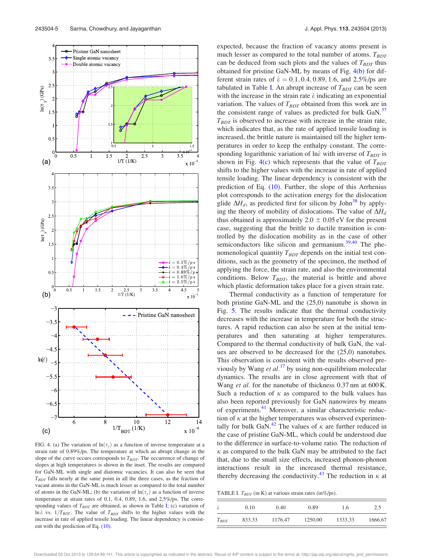

FIG. 4. (a) The variation of  $ln(\tau_v)$  as a function of inverse temperature at a strain rate of 0.89%/ps. The temperature at which an abrupt change in the slope of the curve occurs corresponds to  $T_{BDT}$ . The occurrence of change of slopes at high temperatures is shown in the inset. The results are compared for GaN-ML with single and diatomic vacancies. It can also be seen that *TBDT* falls nearly at the same point in all the three cases, as the fraction of vacant atoms in the GaN-ML is much lesser as compared to the total number of atoms in the GaN-ML; (b) the variation of  $ln(\tau_y)$  as a function of inverse temperature at strain rates of 0.1, 0.4, 0.89, 1.6, and 2.5%/ps. The corresponding values of  $T_{BDT}$  are obtained, as shown in Table I; (c) variation of  $\ln \varepsilon$  vs.  $1/T_{BDT}$ . The value of  $T_{BDT}$  shifts to the higher values with the increase in rate of applied tensile loading. The linear dependency is consistent with the prediction of Eq. (10).

expected, because the fraction of vacancy atoms present is much lesser as compared to the total number of atoms.  $T_{BDT}$ can be deduced from such plots and the values of  $T_{BDT}$  thus obtained for pristine GaN-ML by means of Fig. 4(b) for different strain rates of  $\dot{\epsilon} = 0.1, 0.4, 0.89, 1.6$ , and 2.5%/ps are tabulated in Table I. An abrupt increase of  $T_{BDT}$  can be seen with the increase in the strain rate  $\dot{\varepsilon}$  indicating an exponential variation. The values of  $T_{BDT}$  obtained from this work are in the consistent range of values as predicted for bulk GaN.<sup>37</sup>  $T_{BDT}$  is observed to increase with increase in the strain rate, which indicates that, as the rate of applied tensile loading is increased, the brittle nature is maintained till the higher temperatures in order to keep the enthalpy constant. The corresponding logarithmic variation of lne with inverse of  $T_{BDT}$  is shown in Fig.  $4(c)$  which represents that the value of  $T_{BDT}$ shifts to the higher values with the increase in rate of applied tensile loading. The linear dependency is consistent with the prediction of Eq. (10). Further, the slope of this Arrhenius plot corresponds to the activation energy for the dislocation glide  $\Delta H_d$ , as predicted first for silicon by John<sup>38</sup> by applying the theory of mobility of dislocations. The value of  $\Delta H_d$ thus obtained is approximately  $2.0 \pm 0.05$  eV for the present case, suggesting that the brittle to ductile transition is controlled by the dislocation mobility as in the case of other semiconductors like silicon and germanium.<sup>39,40</sup> The phenomenological quantity  $T_{BDT}$  depends on the initial test conditions, such as the geometry of the specimen, the method of applying the force, the strain rate, and also the environmental conditions. Below *T<sub>BDT</sub>*, the material is brittle and above which plastic deformation takes place for a given strain rate.

Thermal conductivity as a function of temperature for both pristine GaN-ML and the (25,0) nanotube is shown in Fig. 5. The results indicate that the thermal conductivity decreases with the increase in temperature for both the structures. A rapid reduction can also be seen at the initial temperatures and then saturating at higher temperatures. Compared to the thermal conductivity of bulk GaN, the values are observed to be decreased for the (25,0) nanotubes. This observation is consistent with the results observed previously by Wang *et al.*<sup>17</sup> by using non-equilibrium molecular dynamics. The results are in close agreement with that of Wang *et al.* for the nanotube of thickness 0.37 nm at 600 K. Such a reduction of  $\kappa$  as compared to the bulk values has also been reported previously for GaN nanowires by means of experiments.<sup>41</sup> Moreover, a similar characteristic reduction of  $\kappa$  at the higher temperatures was observed experimentally for bulk GaN.<sup>42</sup> The values of  $\kappa$  are further reduced in the case of pristine GaN-ML, which could be understood due to the difference in surface-to-volume ratio. The reduction of  $\kappa$  as compared to the bulk GaN may be attributed to the fact that, due to the small size effects, increased phonon-phonon interactions result in the increased thermal resistance, thereby decreasing the conductivity.<sup>43</sup> The reduction in  $\kappa$  at

TABLE I. *TBDT* (in K) at various strain rates (in%/ps).

| $\dot{\varepsilon}$ | 0.10   | 0.40    | 0.89    | 1.6     | 2.5     |
|---------------------|--------|---------|---------|---------|---------|
| $T_{BDT}$           | 833.33 | 1176.47 | 1250.00 | 1333.33 | 1666.67 |

Downloaded 03 Oct 2013 to 129.64.99.141. This article is copyrighted as indicated in the abstract. Reuse of AIP content is subject to the terms at: http://jap.aip.org/about/rights\_and\_permissions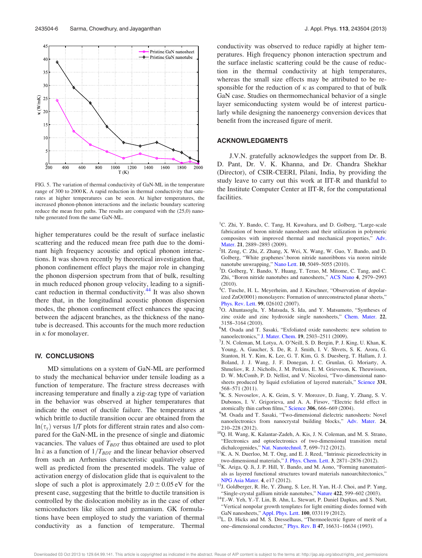

FIG. 5. The variation of thermal conductivity of GaN-ML in the temperature range of 300 to 2000 K. A rapid reduction in thermal conductivity that saturates at higher temperatures can be seen. At higher temperatures, the increased phonon-phonon interactions and the inelastic boundary scattering reduce the mean free paths. The results are compared with the (25,0) nanotube generated from the same GaN-ML.

higher temperatures could be the result of surface inelastic scattering and the reduced mean free path due to the dominant high frequency acoustic and optical phonon interactions. It was shown recently by theoretical investigation that, phonon confinement effect plays the major role in changing the phonon dispersion spectrum from that of bulk, resulting in much reduced phonon group velocity, leading to a significant reduction in thermal conductivity.<sup>44</sup> It was also shown there that, in the longitudinal acoustic phonon dispersion modes, the phonon confinement effect enhances the spacing between the adjacent branches, as the thickness of the nanotube is decreased. This accounts for the much more reduction in  $\kappa$  for monolayer.

### IV. CONCLUSIONS

MD simulations on a system of GaN-ML are performed to study the mechanical behavior under tensile loading as a function of temperature. The fracture stress decreases with increasing temperature and finally a zig-zag type of variation in the behavior was observed at higher temperatures that indicate the onset of ductile failure. The temperatures at which brittle to ductile transition occur are obtained from the  $ln(\tau_v)$  versus 1/*T* plots for different strain rates and also compared for the GaN-ML in the presence of single and diatomic vacancies. The values of  $T_{BDT}$  thus obtained are used to plot ln  $\dot{\epsilon}$  as a function of  $1/T_{BDT}$  and the linear behavior observed from such an Arrhenius characteristic qualitatively agree well as predicted from the presented models. The value of activation energy of dislocation glide that is equivalent to the slope of such a plot is approximately  $2.0 \pm 0.05$  eV for the present case, suggesting that the brittle to ductile transition is controlled by the dislocation mobility as in the case of other semiconductors like silicon and germanium. GK formulations have been employed to study the variation of thermal conductivity as a function of temperature. Thermal conductivity was observed to reduce rapidly at higher temperatures. High frequency phonon interaction spectrum and the surface inelastic scattering could be the cause of reduction in the thermal conductivity at high temperatures, whereas the small size effects may be attributed to be responsible for the reduction of  $\kappa$  as compared to that of bulk GaN case. Studies on thermomechanical behavior of a single layer semiconducting system would be of interest particularly while designing the nanoenergy conversion devices that benefit from the increased figure of merit.

#### ACKNOWLEDGMENTS

J.V.N. gratefully acknowledges the support from Dr. B. D. Pant, Dr. V. K. Khanna, and Dr. Chandra Shekhar (Director), of CSIR-CEERI, Pilani, India, by providing the study leave to carry out this work at IIT-R and thankful to the Institute Computer Center at IIT-R, for the computational facilities.

- <sup>1</sup>C. Zhi, Y. Bando, C. Tang, H. Kuwahara, and D. Golberg, "Large-scale fabrication of boron nitride nanosheets and their utilization in polymeric composites with improved thermal and mechanical properties," Adv. Mater. 21, 2889–2893 (2009).
- ${}^{2}$ H. Zeng, C. Zhi, Z. Zhang, X. Wei, X. Wang, W. Guo, Y. Bando, and D. Golberg, "White graphenes':boron nitride nanoribbons via noron nitride nanotube unwrapping," Nano Lett. 10, 5049–5055 (2010).
- <sup>3</sup>D. Golberg, Y. Bando, Y. Huang, T. Terao, M. Mitome, C. Tang, and C. Zhi, "Boron nitride nanotubes and nanosheets," ACS Nano 4, 2979–2993 (2010).
- <sup>4</sup>C. Tusche, H. L. Meyerheim, and J. Kirschner, "Observation of depolarized ZnO(0001) monolayers: Formation of unreconstructed planar sheets," Phys. Rev. Lett. 99, 026102 (2007).
- <sup>5</sup>O. Altuntasoglu, Y. Matsuda, S. Ida, and Y. Matsumoto, "Syntheses of zinc oxide and zinc hydroxide single nanosheets," Chem. Mater. 22, 3158–3164 (2010).
- <sup>6</sup>M. Osada and T. Sasaki, "Exfoliated oxide nanosheets: new solution to nanoelectronics," J. Mater. Chem. 19, 2503–2511 (2009).
- 7 J. N. Coleman, M. Lotya, A. O'Neill, S. D. Bergin, P. J. King, U. Khan, K. Young, A. Gaucher, S. De, R. J. Smith, I. V. Shvets, S. K. Arora, G. Stanton, H. Y. Kim, K. Lee, G. T. Kim, G. S. Duesberg, T. Hallam, J. J. Boland, J. J. Wang, J. F. Donegan, J. C. Grunlan, G. Moriarty, A. Shmeliov, R. J. Nicholls, J. M. Perkins, E. M. Grieveson, K. Theuwissen, D. W. McComb, P. D. Nellist, and V. Nicolosi, "Two–dimensional nanosheets produced by liquid exfoliation of layered materials," Science 331, 568–571 (2011).
- <sup>8</sup>K. S. Novoselov, A. K. Geim, S. V. Morozov, D. Jiang, Y. Zhang, S. V. Dubonos, I. V. Grigorieva, and A. A. Firsov, "Electric field effect in atomically thin carbon films," Science 306, 666-669 (2004).
- <sup>9</sup>M. Osada and T. Sasaki, "Two-dimensional dielectric nanosheets: Novel nanoelectronics from nanocrystal building blocks," Adv. Mater. 24, 210–228 (2012).
- <sup>10</sup>Q. H. Wang, K. Kalantar-Zadeh, A. Kis, J. N. Coleman, and M. S. Strano, "Electronics and optoelectronics of two-dimensional transition metal dichalcogenides," Nat. Nanotechnol. 7, 699-712 (2012).
- <sup>11</sup>K. A. N. Duerloo, M. T. Ong, and E. J. Reed, "Intrinsic piezoelectricity in two-dimensional materials," J. Phys. Chem. Lett. 3, 2871–2876 (2012).
- <sup>12</sup>K. Ariga, Q. Ji, J. P. Hill, Y. Bando, and M. Aono, "Forming nanomaterials as layered functional structures toward materials nanoarchitectonics," NPG Asia Mater. 4, e17 (2012).
- <sup>13</sup>J. Goldberger, R. He, Y. Zhang, S. Lee, H. Yan, H.-J. Choi, and P. Yang, "Single-crystal gallium nitride nanotubes," Nature 422, 599-602 (2003).
- <sup>14</sup>T.-W. Yeh, Y.-T. Lin, B. Ahn, L. Stewart, P. Daniel Dapkus, and S. Nutt, "Vertical nonpolar growth templates for light emitting diodes formed with GaN nanosheets," Appl. Phys. Lett. 100, 033119 (2012).
- <sup>15</sup>L. D. Hicks and M. S. Dresselhaus, "Thermoelectric figure of merit of a one–dimensional conductor," Phys. Rev. B 47, 16631–16634 (1993).